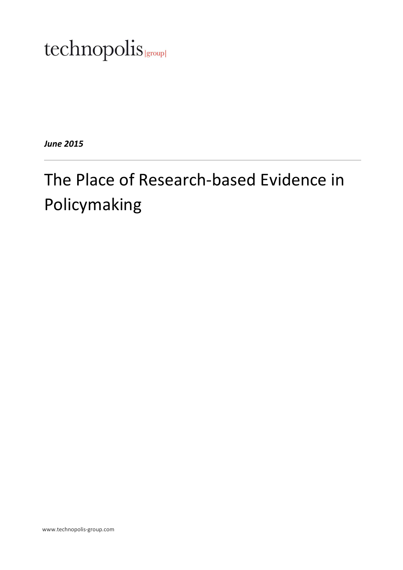# technopolis |group|

*June 2015* 

# The Place of Research-based Evidence in Policymaking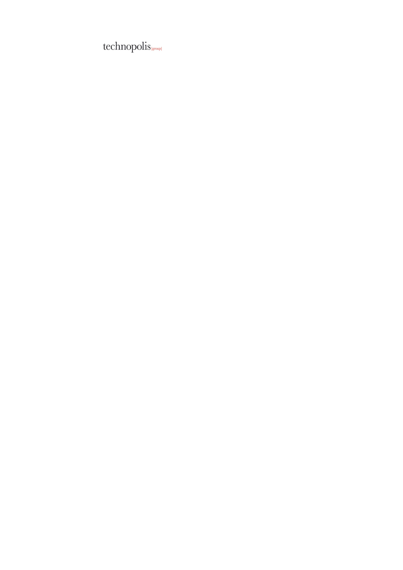$technopolis_{\text{\tiny{[group]}}}$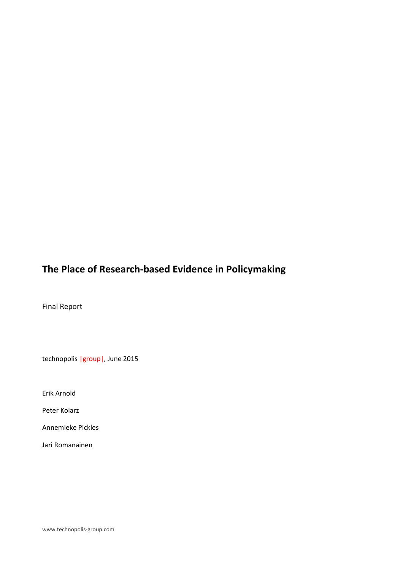# **The Place of Research-based Evidence in Policymaking**

Final Report

technopolis |group|, June 2015

Erik Arnold

Peter Kolarz

Annemieke Pickles

Jari Romanainen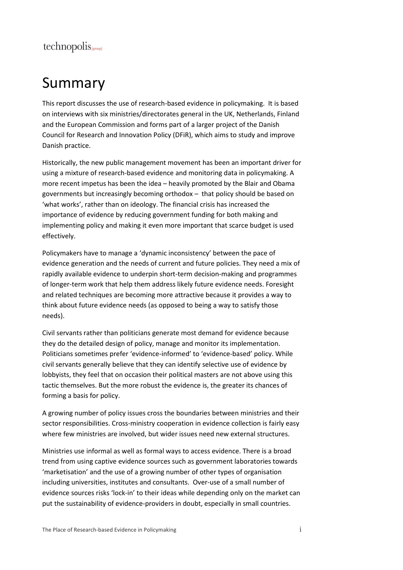# Summary

This report discusses the use of research-based evidence in policymaking. It is based on interviews with six ministries/directorates general in the UK, Netherlands, Finland and the European Commission and forms part of a larger project of the Danish Council for Research and Innovation Policy (DFiR), which aims to study and improve Danish practice.

Historically, the new public management movement has been an important driver for using a mixture of research-based evidence and monitoring data in policymaking. A more recent impetus has been the idea – heavily promoted by the Blair and Obama governments but increasingly becoming orthodox – that policy should be based on 'what works', rather than on ideology. The financial crisis has increased the importance of evidence by reducing government funding for both making and implementing policy and making it even more important that scarce budget is used effectively.

Policymakers have to manage a 'dynamic inconsistency' between the pace of evidence generation and the needs of current and future policies. They need a mix of rapidly available evidence to underpin short-term decision-making and programmes of longer-term work that help them address likely future evidence needs. Foresight and related techniques are becoming more attractive because it provides a way to think about future evidence needs (as opposed to being a way to satisfy those needs).

Civil servants rather than politicians generate most demand for evidence because they do the detailed design of policy, manage and monitor its implementation. Politicians sometimes prefer 'evidence-informed' to 'evidence-based' policy. While civil servants generally believe that they can identify selective use of evidence by lobbyists, they feel that on occasion their political masters are not above using this tactic themselves. But the more robust the evidence is, the greater its chances of forming a basis for policy.

A growing number of policy issues cross the boundaries between ministries and their sector responsibilities. Cross-ministry cooperation in evidence collection is fairly easy where few ministries are involved, but wider issues need new external structures.

Ministries use informal as well as formal ways to access evidence. There is a broad trend from using captive evidence sources such as government laboratories towards 'marketisation' and the use of a growing number of other types of organisation including universities, institutes and consultants. Over-use of a small number of evidence sources risks 'lock-in' to their ideas while depending only on the market can put the sustainability of evidence-providers in doubt, especially in small countries.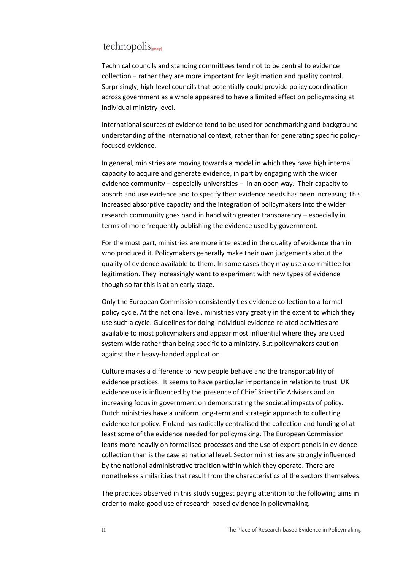Technical councils and standing committees tend not to be central to evidence collection – rather they are more important for legitimation and quality control. Surprisingly, high-level councils that potentially could provide policy coordination across government as a whole appeared to have a limited effect on policymaking at individual ministry level.

International sources of evidence tend to be used for benchmarking and background understanding of the international context, rather than for generating specific policyfocused evidence.

In general, ministries are moving towards a model in which they have high internal capacity to acquire and generate evidence, in part by engaging with the wider evidence community – especially universities – in an open way. Their capacity to absorb and use evidence and to specify their evidence needs has been increasing This increased absorptive capacity and the integration of policymakers into the wider research community goes hand in hand with greater transparency – especially in terms of more frequently publishing the evidence used by government.

For the most part, ministries are more interested in the quality of evidence than in who produced it. Policymakers generally make their own judgements about the quality of evidence available to them. In some cases they may use a committee for legitimation. They increasingly want to experiment with new types of evidence though so far this is at an early stage.

Only the European Commission consistently ties evidence collection to a formal policy cycle. At the national level, ministries vary greatly in the extent to which they use such a cycle. Guidelines for doing individual evidence-related activities are available to most policymakers and appear most influential where they are used system-wide rather than being specific to a ministry. But policymakers caution against their heavy-handed application.

Culture makes a difference to how people behave and the transportability of evidence practices. It seems to have particular importance in relation to trust. UK evidence use is influenced by the presence of Chief Scientific Advisers and an increasing focus in government on demonstrating the societal impacts of policy. Dutch ministries have a uniform long-term and strategic approach to collecting evidence for policy. Finland has radically centralised the collection and funding of at least some of the evidence needed for policymaking. The European Commission leans more heavily on formalised processes and the use of expert panels in evidence collection than is the case at national level. Sector ministries are strongly influenced by the national administrative tradition within which they operate. There are nonetheless similarities that result from the characteristics of the sectors themselves.

The practices observed in this study suggest paying attention to the following aims in order to make good use of research-based evidence in policymaking.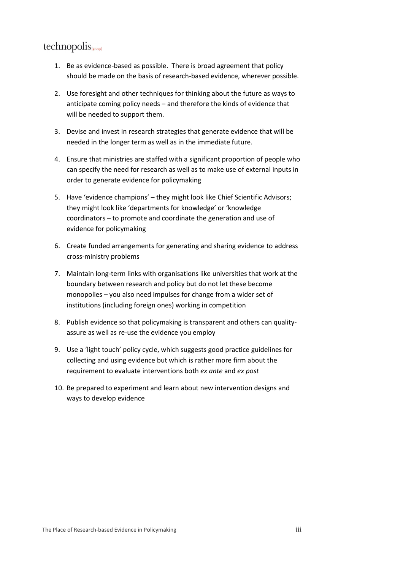- 1. Be as evidence-based as possible. There is broad agreement that policy should be made on the basis of research-based evidence, wherever possible.
- 2. Use foresight and other techniques for thinking about the future as ways to anticipate coming policy needs – and therefore the kinds of evidence that will be needed to support them.
- 3. Devise and invest in research strategies that generate evidence that will be needed in the longer term as well as in the immediate future.
- 4. Ensure that ministries are staffed with a significant proportion of people who can specify the need for research as well as to make use of external inputs in order to generate evidence for policymaking
- 5. Have 'evidence champions' they might look like Chief Scientific Advisors; they might look like 'departments for knowledge' or 'knowledge coordinators – to promote and coordinate the generation and use of evidence for policymaking
- 6. Create funded arrangements for generating and sharing evidence to address cross-ministry problems
- 7. Maintain long-term links with organisations like universities that work at the boundary between research and policy but do not let these become monopolies – you also need impulses for change from a wider set of institutions (including foreign ones) working in competition
- 8. Publish evidence so that policymaking is transparent and others can qualityassure as well as re-use the evidence you employ
- 9. Use a 'light touch' policy cycle, which suggests good practice guidelines for collecting and using evidence but which is rather more firm about the requirement to evaluate interventions both *ex ante* and *ex post*
- 10. Be prepared to experiment and learn about new intervention designs and ways to develop evidence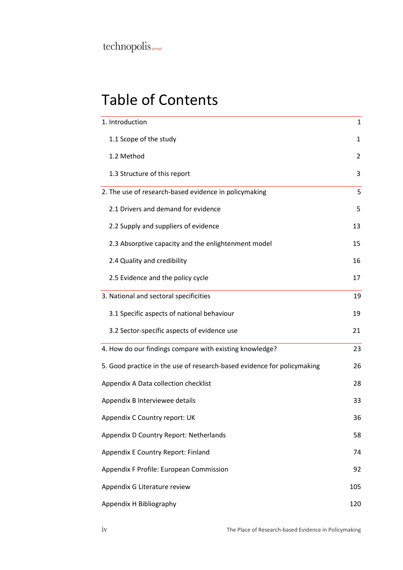$technopolis_{\text{\tiny{[group]}}}$ 

# Table of Contents

| 1. Introduction                                                         | 1   |
|-------------------------------------------------------------------------|-----|
| 1.1 Scope of the study                                                  | 1   |
| 1.2 Method                                                              | 2   |
| 1.3 Structure of this report                                            | 3   |
| 2. The use of research-based evidence in policymaking                   | 5   |
| 2.1 Drivers and demand for evidence                                     | 5   |
| 2.2 Supply and suppliers of evidence                                    | 13  |
| 2.3 Absorptive capacity and the enlightenment model                     | 15  |
| 2.4 Quality and credibility                                             | 16  |
| 2.5 Evidence and the policy cycle                                       | 17  |
| 3. National and sectoral specificities                                  | 19  |
| 3.1 Specific aspects of national behaviour                              | 19  |
| 3.2 Sector-specific aspects of evidence use                             | 21  |
| 4. How do our findings compare with existing knowledge?                 | 23  |
| 5. Good practice in the use of research-based evidence for policymaking | 26  |
| Appendix A Data collection checklist                                    | 28  |
| Appendix B Interviewee details                                          | 33  |
| Appendix C Country report: UK                                           | 36  |
| Appendix D Country Report: Netherlands                                  | 58  |
| Appendix E Country Report: Finland                                      | 74  |
| Appendix F Profile: European Commission                                 | 92  |
| Appendix G Literature review                                            | 105 |
| Appendix H Bibliography                                                 | 120 |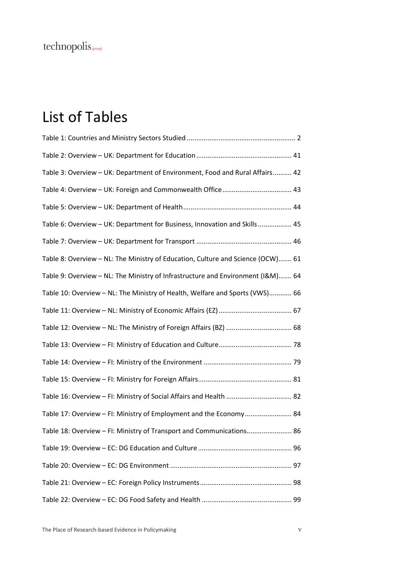$technopolis_{\text{\tiny{[group]}}}$ 

# List of Tables

| Table 3: Overview - UK: Department of Environment, Food and Rural Affairs 42    |
|---------------------------------------------------------------------------------|
|                                                                                 |
|                                                                                 |
| Table 6: Overview - UK: Department for Business, Innovation and Skills 45       |
|                                                                                 |
| Table 8: Overview - NL: The Ministry of Education, Culture and Science (OCW) 61 |
| Table 9: Overview - NL: The Ministry of Infrastructure and Environment (I&M) 64 |
| Table 10: Overview - NL: The Ministry of Health, Welfare and Sports (VWS) 66    |
|                                                                                 |
|                                                                                 |
|                                                                                 |
|                                                                                 |
|                                                                                 |
| Table 16: Overview - FI: Ministry of Social Affairs and Health  82              |
| Table 17: Overview - FI: Ministry of Employment and the Economy 84              |
| Table 18: Overview - FI: Ministry of Transport and Communications 86            |
|                                                                                 |
|                                                                                 |
|                                                                                 |
|                                                                                 |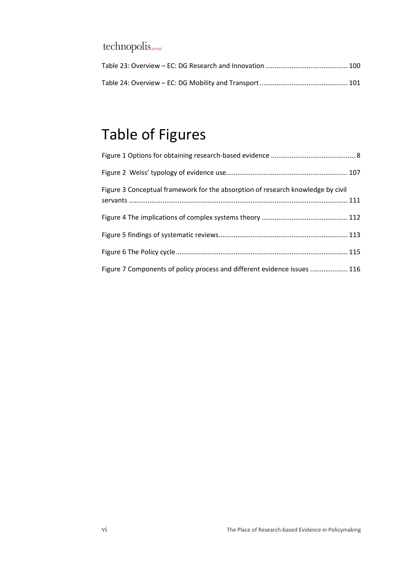# Table of Figures

| Figure 3 Conceptual framework for the absorption of research knowledge by civil |
|---------------------------------------------------------------------------------|
|                                                                                 |
|                                                                                 |
|                                                                                 |
| Figure 7 Components of policy process and different evidence issues  116        |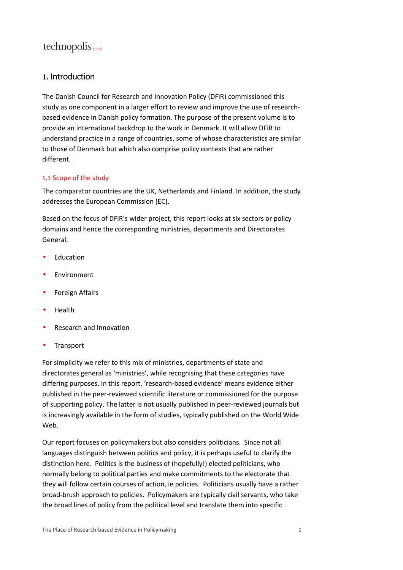#### 1. Introduction

The Danish Council for Research and Innovation Policy (DFiR) commissioned this study as one component in a larger effort to review and improve the use of researchbased evidence in Danish policy formation. The purpose of the present volume is to provide an international backdrop to the work in Denmark. It will allow DFiR to understand practice in a range of countries, some of whose characteristics are similar to those of Denmark but which also comprise policy contexts that are rather different.

#### 1.1 Scope of the study

The comparator countries are the UK, Netherlands and Finland. In addition, the study addresses the European Commission (EC).

Based on the focus of DFiR's wider project, this report looks at six sectors or policy domains and hence the corresponding ministries, departments and Directorates General.

- **Education**
- Environment
- Foreign Affairs
- Health
- Research and Innovation
- **Transport**

For simplicity we refer to this mix of ministries, departments of state and directorates general as 'ministries', while recognising that these categories have differing purposes. In this report, 'research-based evidence' means evidence either published in the peer-reviewed scientific literature or commissioned for the purpose of supporting policy. The latter is not usually published in peer-reviewed journals but is increasingly available in the form of studies, typically published on the World Wide Web.

Our report focuses on policymakers but also considers politicians. Since not all languages distinguish between politics and policy, it is perhaps useful to clarify the distinction here. Politics is the business of (hopefully!) elected politicians, who normally belong to political parties and make commitments to the electorate that they will follow certain courses of action, ie policies. Politicians usually have a rather broad-brush approach to policies. Policymakers are typically civil servants, who take the broad lines of policy from the political level and translate them into specific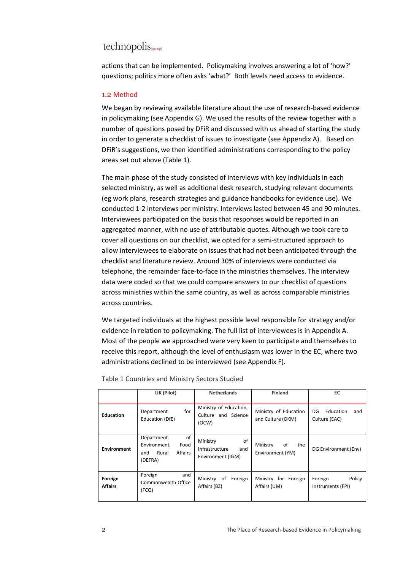actions that can be implemented. Policymaking involves answering a lot of 'how?' questions; politics more often asks 'what?' Both levels need access to evidence.

#### 1.2 Method

We began by reviewing available literature about the use of research-based evidence in policymaking (see Appendix G). We used the results of the review together with a number of questions posed by DFiR and discussed with us ahead of starting the study in order to generate a checklist of issues to investigate (see Appendix A). Based on DFiR's suggestions, we then identified administrations corresponding to the policy areas set out above (Table 1).

The main phase of the study consisted of interviews with key individuals in each selected ministry, as well as additional desk research, studying relevant documents (eg work plans, research strategies and guidance handbooks for evidence use). We conducted 1-2 interviews per ministry. Interviews lasted between 45 and 90 minutes. Interviewees participated on the basis that responses would be reported in an aggregated manner, with no use of attributable quotes. Although we took care to cover all questions on our checklist, we opted for a semi-structured approach to allow interviewees to elaborate on issues that had not been anticipated through the checklist and literature review. Around 30% of interviews were conducted via telephone, the remainder face-to-face in the ministries themselves. The interview data were coded so that we could compare answers to our checklist of questions across ministries within the same country, as well as across comparable ministries across countries.

We targeted individuals at the highest possible level responsible for strategy and/or evidence in relation to policymaking. The full list of interviewees is in Appendix A. Most of the people we approached were very keen to participate and themselves to receive this report, although the level of enthusiasm was lower in the EC, where two administrations declined to be interviewed (see Appendix F).

|                           | UK (Pilot)                                                                     | <b>Netherlands</b>                                           | <b>Finland</b>                             | EC                                      |
|---------------------------|--------------------------------------------------------------------------------|--------------------------------------------------------------|--------------------------------------------|-----------------------------------------|
| <b>Education</b>          | for<br>Department<br>Education (DfE)                                           | Ministry of Education,<br>Culture and Science<br>(OCW)       | Ministry of Education<br>and Culture (OKM) | Education<br>DG<br>and<br>Culture (EAC) |
| <b>Environment</b>        | of<br>Department<br>Environment,<br>Food<br>Affairs<br>Rural<br>and<br>(DEFRA) | of<br>Ministry<br>Infrastructure<br>and<br>Environment (I&M) | of<br>Ministry<br>the<br>Environment (YM)  | DG Environment (Env)                    |
| Foreign<br><b>Affairs</b> | Foreign<br>and<br>Commonwealth Office<br>(FCO)                                 | Ministry of<br>Foreign<br>Affairs (BZ)                       | Ministry for Foreign<br>Affairs (UM)       | Policy<br>Foreign<br>Instruments (FPI)  |

Table 1 Countries and Ministry Sectors Studied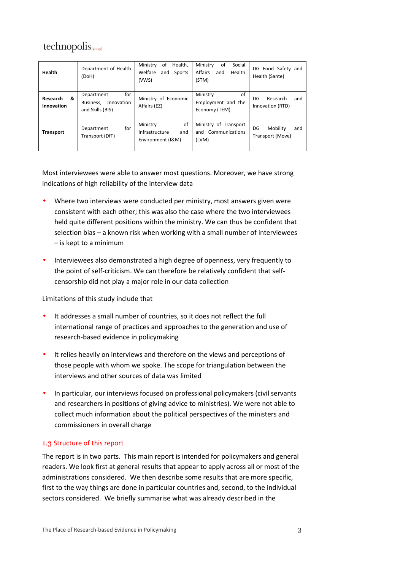| Health                      | Department of Health<br>(DoH)                                    | Health.<br>Ministry<br>οf<br>Welfare<br>Sports<br>and<br>(VWS) | οf<br>Ministry<br>Social<br>Affairs<br>Health<br>and<br>(STM) | DG Food Safety and<br>Health (Sante)      |
|-----------------------------|------------------------------------------------------------------|----------------------------------------------------------------|---------------------------------------------------------------|-------------------------------------------|
| Research<br>&<br>Innovation | for<br>Department<br>Business,<br>Innovation<br>and Skills (BIS) | Ministry of Economic<br>Affairs (EZ)                           | Ministry<br>οf<br>Employment and the<br>Economy (TEM)         | DG<br>Research<br>and<br>Innovation (RTD) |
| <b>Transport</b>            | for<br>Department<br>Transport (DfT)                             | of<br>Ministry<br>Infrastructure<br>and<br>Environment (I&M)   | Ministry of Transport<br>and Communications<br>(LVM)          | DG<br>Mobility<br>and<br>Transport (Move) |

Most interviewees were able to answer most questions. Moreover, we have strong indications of high reliability of the interview data

- Where two interviews were conducted per ministry, most answers given were consistent with each other; this was also the case where the two interviewees held quite different positions within the ministry. We can thus be confident that selection bias – a known risk when working with a small number of interviewees – is kept to a minimum
- Interviewees also demonstrated a high degree of openness, very frequently to the point of self-criticism. We can therefore be relatively confident that selfcensorship did not play a major role in our data collection

Limitations of this study include that

- It addresses a small number of countries, so it does not reflect the full international range of practices and approaches to the generation and use of research-based evidence in policymaking
- It relies heavily on interviews and therefore on the views and perceptions of those people with whom we spoke. The scope for triangulation between the interviews and other sources of data was limited
- In particular, our interviews focused on professional policymakers (civil servants and researchers in positions of giving advice to ministries). We were not able to collect much information about the political perspectives of the ministers and commissioners in overall charge

#### 1.3 Structure of this report

The report is in two parts. This main report is intended for policymakers and general readers. We look first at general results that appear to apply across all or most of the administrations considered. We then describe some results that are more specific, first to the way things are done in particular countries and, second, to the individual sectors considered. We briefly summarise what was already described in the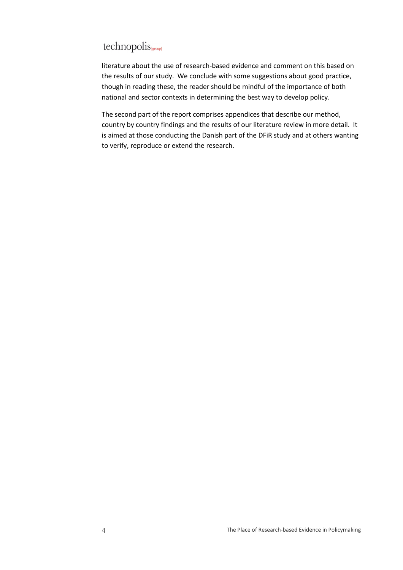# technopolis sroup

literature about the use of research-based evidence and comment on this based on the results of our study. We conclude with some suggestions about good practice, though in reading these, the reader should be mindful of the importance of both national and sector contexts in determining the best way to develop policy.

The second part of the report comprises appendices that describe our method, country by country findings and the results of our literature review in more detail. It is aimed at those conducting the Danish part of the DFiR study and at others wanting to verify, reproduce or extend the research.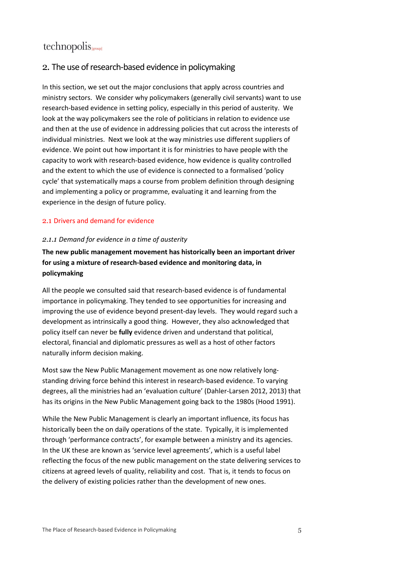#### 2. The use of research-based evidence in policymaking

In this section, we set out the major conclusions that apply across countries and ministry sectors. We consider why policymakers (generally civil servants) want to use research-based evidence in setting policy, especially in this period of austerity. We look at the way policymakers see the role of politicians in relation to evidence use and then at the use of evidence in addressing policies that cut across the interests of individual ministries. Next we look at the way ministries use different suppliers of evidence. We point out how important it is for ministries to have people with the capacity to work with research-based evidence, how evidence is quality controlled and the extent to which the use of evidence is connected to a formalised 'policy cycle' that systematically maps a course from problem definition through designing and implementing a policy or programme, evaluating it and learning from the experience in the design of future policy.

#### 2.1 Drivers and demand for evidence

#### *2.1.1 Demand for evidence in a time of austerity*

#### **The new public management movement has historically been an important driver for using a mixture of research-based evidence and monitoring data, in policymaking**

All the people we consulted said that research-based evidence is of fundamental importance in policymaking. They tended to see opportunities for increasing and improving the use of evidence beyond present-day levels. They would regard such a development as intrinsically a good thing. However, they also acknowledged that policy itself can never be **fully** evidence driven and understand that political, electoral, financial and diplomatic pressures as well as a host of other factors naturally inform decision making.

Most saw the New Public Management movement as one now relatively longstanding driving force behind this interest in research-based evidence. To varying degrees, all the ministries had an 'evaluation culture' (Dahler-Larsen 2012, 2013) that has its origins in the New Public Management going back to the 1980s (Hood 1991).

While the New Public Management is clearly an important influence, its focus has historically been the on daily operations of the state. Typically, it is implemented through 'performance contracts', for example between a ministry and its agencies. In the UK these are known as 'service level agreements', which is a useful label reflecting the focus of the new public management on the state delivering services to citizens at agreed levels of quality, reliability and cost. That is, it tends to focus on the delivery of existing policies rather than the development of new ones.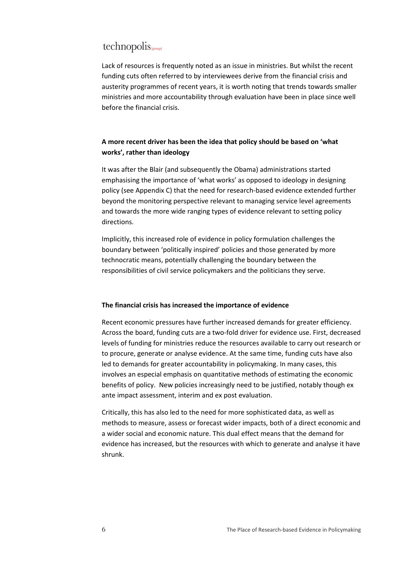Lack of resources is frequently noted as an issue in ministries. But whilst the recent funding cuts often referred to by interviewees derive from the financial crisis and austerity programmes of recent years, it is worth noting that trends towards smaller ministries and more accountability through evaluation have been in place since well before the financial crisis.

#### **A more recent driver has been the idea that policy should be based on 'what works', rather than ideology**

It was after the Blair (and subsequently the Obama) administrations started emphasising the importance of 'what works' as opposed to ideology in designing policy (see Appendix C) that the need for research-based evidence extended further beyond the monitoring perspective relevant to managing service level agreements and towards the more wide ranging types of evidence relevant to setting policy directions.

Implicitly, this increased role of evidence in policy formulation challenges the boundary between 'politically inspired' policies and those generated by more technocratic means, potentially challenging the boundary between the responsibilities of civil service policymakers and the politicians they serve.

#### **The financial crisis has increased the importance of evidence**

Recent economic pressures have further increased demands for greater efficiency. Across the board, funding cuts are a two-fold driver for evidence use. First, decreased levels of funding for ministries reduce the resources available to carry out research or to procure, generate or analyse evidence. At the same time, funding cuts have also led to demands for greater accountability in policymaking. In many cases, this involves an especial emphasis on quantitative methods of estimating the economic benefits of policy. New policies increasingly need to be justified, notably though ex ante impact assessment, interim and ex post evaluation.

Critically, this has also led to the need for more sophisticated data, as well as methods to measure, assess or forecast wider impacts, both of a direct economic and a wider social and economic nature. This dual effect means that the demand for evidence has increased, but the resources with which to generate and analyse it have shrunk.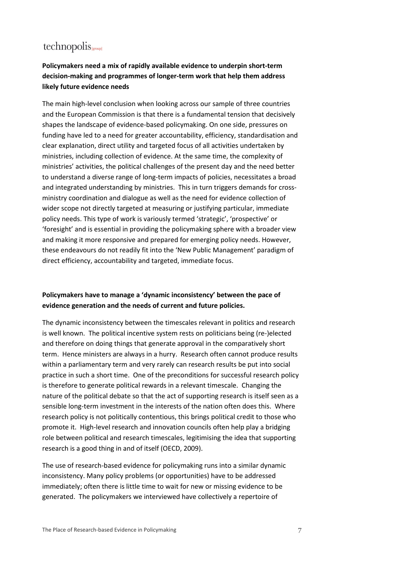#### **Policymakers need a mix of rapidly available evidence to underpin short-term decision-making and programmes of longer-term work that help them address likely future evidence needs**

The main high-level conclusion when looking across our sample of three countries and the European Commission is that there is a fundamental tension that decisively shapes the landscape of evidence-based policymaking. On one side, pressures on funding have led to a need for greater accountability, efficiency, standardisation and clear explanation, direct utility and targeted focus of all activities undertaken by ministries, including collection of evidence. At the same time, the complexity of ministries' activities, the political challenges of the present day and the need better to understand a diverse range of long-term impacts of policies, necessitates a broad and integrated understanding by ministries. This in turn triggers demands for crossministry coordination and dialogue as well as the need for evidence collection of wider scope not directly targeted at measuring or justifying particular, immediate policy needs. This type of work is variously termed 'strategic', 'prospective' or 'foresight' and is essential in providing the policymaking sphere with a broader view and making it more responsive and prepared for emerging policy needs. However, these endeavours do not readily fit into the 'New Public Management' paradigm of direct efficiency, accountability and targeted, immediate focus.

#### **Policymakers have to manage a 'dynamic inconsistency' between the pace of evidence generation and the needs of current and future policies.**

The dynamic inconsistency between the timescales relevant in politics and research is well known. The political incentive system rests on politicians being (re-)elected and therefore on doing things that generate approval in the comparatively short term. Hence ministers are always in a hurry. Research often cannot produce results within a parliamentary term and very rarely can research results be put into social practice in such a short time. One of the preconditions for successful research policy is therefore to generate political rewards in a relevant timescale. Changing the nature of the political debate so that the act of supporting research is itself seen as a sensible long-term investment in the interests of the nation often does this. Where research policy is not politically contentious, this brings political credit to those who promote it. High-level research and innovation councils often help play a bridging role between political and research timescales, legitimising the idea that supporting research is a good thing in and of itself (OECD, 2009).

The use of research-based evidence for policymaking runs into a similar dynamic inconsistency. Many policy problems (or opportunities) have to be addressed immediately; often there is little time to wait for new or missing evidence to be generated. The policymakers we interviewed have collectively a repertoire of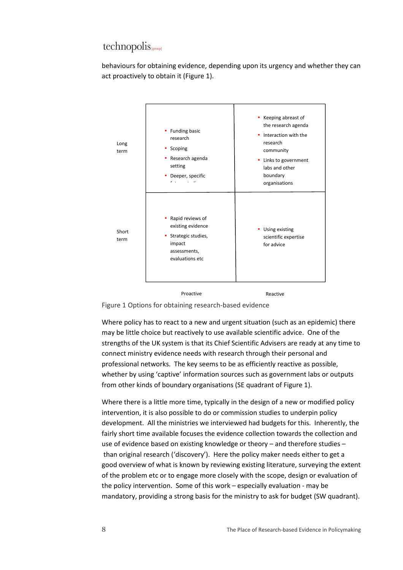behaviours for obtaining evidence, depending upon its urgency and whether they can act proactively to obtain it (Figure 1).



Figure 1 Options for obtaining research-based evidence

Where policy has to react to a new and urgent situation (such as an epidemic) there may be little choice but reactively to use available scientific advice. One of the strengths of the UK system is that its Chief Scientific Advisers are ready at any time to connect ministry evidence needs with research through their personal and professional networks. The key seems to be as efficiently reactive as possible, whether by using 'captive' information sources such as government labs or outputs from other kinds of boundary organisations (SE quadrant of Figure 1).

Where there is a little more time, typically in the design of a new or modified policy intervention, it is also possible to do or commission studies to underpin policy development. All the ministries we interviewed had budgets for this. Inherently, the fairly short time available focuses the evidence collection towards the collection and use of evidence based on existing knowledge or theory – and therefore studies – than original research ('discovery'). Here the policy maker needs either to get a good overview of what is known by reviewing existing literature, surveying the extent of the problem etc or to engage more closely with the scope, design or evaluation of the policy intervention. Some of this work – especially evaluation - may be mandatory, providing a strong basis for the ministry to ask for budget (SW quadrant).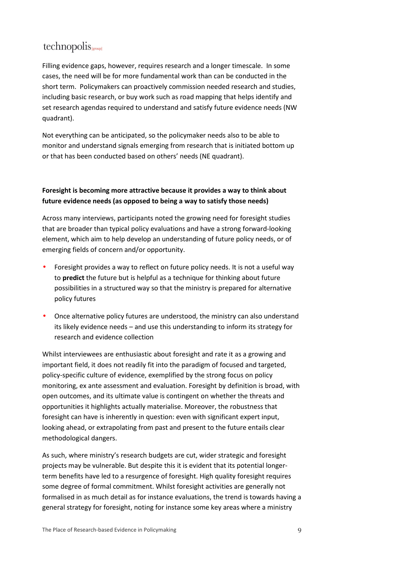Filling evidence gaps, however, requires research and a longer timescale. In some cases, the need will be for more fundamental work than can be conducted in the short term. Policymakers can proactively commission needed research and studies, including basic research, or buy work such as road mapping that helps identify and set research agendas required to understand and satisfy future evidence needs (NW quadrant).

Not everything can be anticipated, so the policymaker needs also to be able to monitor and understand signals emerging from research that is initiated bottom up or that has been conducted based on others' needs (NE quadrant).

#### **Foresight is becoming more attractive because it provides a way to think about future evidence needs (as opposed to being a way to satisfy those needs)**

Across many interviews, participants noted the growing need for foresight studies that are broader than typical policy evaluations and have a strong forward-looking element, which aim to help develop an understanding of future policy needs, or of emerging fields of concern and/or opportunity.

- Foresight provides a way to reflect on future policy needs. It is not a useful way to **predict** the future but is helpful as a technique for thinking about future possibilities in a structured way so that the ministry is prepared for alternative policy futures
- Once alternative policy futures are understood, the ministry can also understand its likely evidence needs – and use this understanding to inform its strategy for research and evidence collection

Whilst interviewees are enthusiastic about foresight and rate it as a growing and important field, it does not readily fit into the paradigm of focused and targeted, policy-specific culture of evidence, exemplified by the strong focus on policy monitoring, ex ante assessment and evaluation. Foresight by definition is broad, with open outcomes, and its ultimate value is contingent on whether the threats and opportunities it highlights actually materialise. Moreover, the robustness that foresight can have is inherently in question: even with significant expert input, looking ahead, or extrapolating from past and present to the future entails clear methodological dangers.

As such, where ministry's research budgets are cut, wider strategic and foresight projects may be vulnerable. But despite this it is evident that its potential longerterm benefits have led to a resurgence of foresight. High quality foresight requires some degree of formal commitment. Whilst foresight activities are generally not formalised in as much detail as for instance evaluations, the trend is towards having a general strategy for foresight, noting for instance some key areas where a ministry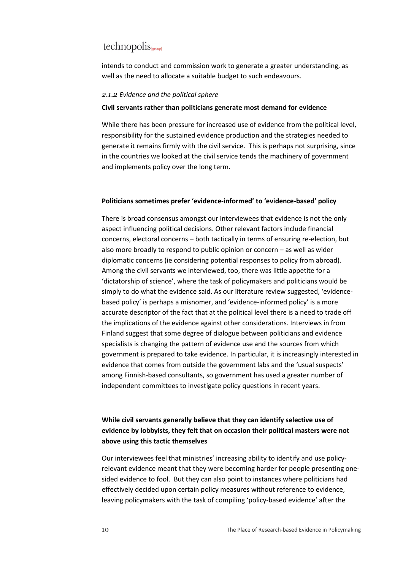intends to conduct and commission work to generate a greater understanding, as well as the need to allocate a suitable budget to such endeavours.

#### *2.1.2 Evidence and the political sphere*

#### **Civil servants rather than politicians generate most demand for evidence**

While there has been pressure for increased use of evidence from the political level, responsibility for the sustained evidence production and the strategies needed to generate it remains firmly with the civil service. This is perhaps not surprising, since in the countries we looked at the civil service tends the machinery of government and implements policy over the long term.

#### **Politicians sometimes prefer 'evidence-informed' to 'evidence-based' policy**

There is broad consensus amongst our interviewees that evidence is not the only aspect influencing political decisions. Other relevant factors include financial concerns, electoral concerns – both tactically in terms of ensuring re-election, but also more broadly to respond to public opinion or concern – as well as wider diplomatic concerns (ie considering potential responses to policy from abroad). Among the civil servants we interviewed, too, there was little appetite for a 'dictatorship of science', where the task of policymakers and politicians would be simply to do what the evidence said. As our literature review suggested, 'evidencebased policy' is perhaps a misnomer, and 'evidence-informed policy' is a more accurate descriptor of the fact that at the political level there is a need to trade off the implications of the evidence against other considerations. Interviews in from Finland suggest that some degree of dialogue between politicians and evidence specialists is changing the pattern of evidence use and the sources from which government is prepared to take evidence. In particular, it is increasingly interested in evidence that comes from outside the government labs and the 'usual suspects' among Finnish-based consultants, so government has used a greater number of independent committees to investigate policy questions in recent years.

#### **While civil servants generally believe that they can identify selective use of evidence by lobbyists, they felt that on occasion their political masters were not above using this tactic themselves**

Our interviewees feel that ministries' increasing ability to identify and use policyrelevant evidence meant that they were becoming harder for people presenting onesided evidence to fool. But they can also point to instances where politicians had effectively decided upon certain policy measures without reference to evidence, leaving policymakers with the task of compiling 'policy-based evidence' after the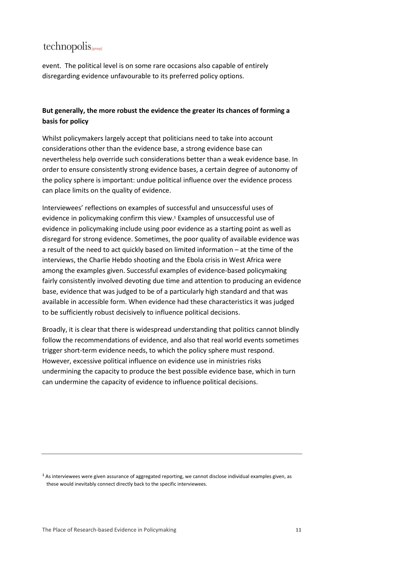event. The political level is on some rare occasions also capable of entirely disregarding evidence unfavourable to its preferred policy options.

#### **But generally, the more robust the evidence the greater its chances of forming a basis for policy**

Whilst policymakers largely accept that politicians need to take into account considerations other than the evidence base, a strong evidence base can nevertheless help override such considerations better than a weak evidence base. In order to ensure consistently strong evidence bases, a certain degree of autonomy of the policy sphere is important: undue political influence over the evidence process can place limits on the quality of evidence.

Interviewees' reflections on examples of successful and unsuccessful uses of evidence in policymaking confirm this view.<sup>1</sup> Examples of unsuccessful use of evidence in policymaking include using poor evidence as a starting point as well as disregard for strong evidence. Sometimes, the poor quality of available evidence was a result of the need to act quickly based on limited information – at the time of the interviews, the Charlie Hebdo shooting and the Ebola crisis in West Africa were among the examples given. Successful examples of evidence-based policymaking fairly consistently involved devoting due time and attention to producing an evidence base, evidence that was judged to be of a particularly high standard and that was available in accessible form. When evidence had these characteristics it was judged to be sufficiently robust decisively to influence political decisions.

Broadly, it is clear that there is widespread understanding that politics cannot blindly follow the recommendations of evidence, and also that real world events sometimes trigger short-term evidence needs, to which the policy sphere must respond. However, excessive political influence on evidence use in ministries risks undermining the capacity to produce the best possible evidence base, which in turn can undermine the capacity of evidence to influence political decisions.

<sup>1</sup> As interviewees were given assurance of aggregated reporting, we cannot disclose individual examples given, as these would inevitably connect directly back to the specific interviewees.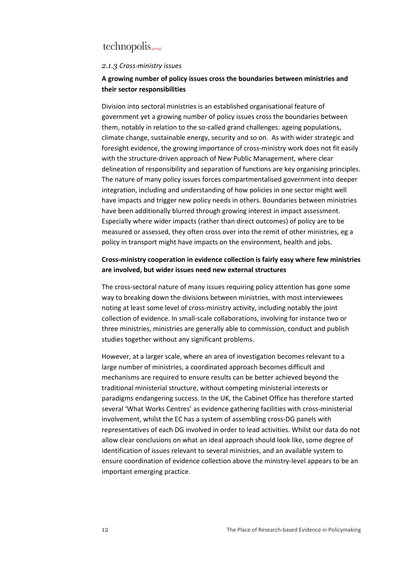#### *2.1.3 Cross-ministry issues*

#### **A growing number of policy issues cross the boundaries between ministries and their sector responsibilities**

Division into sectoral ministries is an established organisational feature of government yet a growing number of policy issues cross the boundaries between them, notably in relation to the so-called grand challenges: ageing populations, climate change, sustainable energy, security and so on. As with wider strategic and foresight evidence, the growing importance of cross-ministry work does not fit easily with the structure-driven approach of New Public Management, where clear delineation of responsibility and separation of functions are key organising principles. The nature of many policy issues forces compartmentalised government into deeper integration, including and understanding of how policies in one sector might well have impacts and trigger new policy needs in others. Boundaries between ministries have been additionally blurred through growing interest in impact assessment. Especially where wider impacts (rather than direct outcomes) of policy are to be measured or assessed, they often cross over into the remit of other ministries, eg a policy in transport might have impacts on the environment, health and jobs.

#### **Cross-ministry cooperation in evidence collection is fairly easy where few ministries are involved, but wider issues need new external structures**

The cross-sectoral nature of many issues requiring policy attention has gone some way to breaking down the divisions between ministries, with most interviewees noting at least some level of cross-ministry activity, including notably the joint collection of evidence. In small-scale collaborations, involving for instance two or three ministries, ministries are generally able to commission, conduct and publish studies together without any significant problems.

However, at a larger scale, where an area of investigation becomes relevant to a large number of ministries, a coordinated approach becomes difficult and mechanisms are required to ensure results can be better achieved beyond the traditional ministerial structure, without competing ministerial interests or paradigms endangering success. In the UK, the Cabinet Office has therefore started several 'What Works Centres' as evidence gathering facilities with cross-ministerial involvement, whilst the EC has a system of assembling cross-DG panels with representatives of each DG involved in order to lead activities. Whilst our data do not allow clear conclusions on what an ideal approach should look like, some degree of identification of issues relevant to several ministries, and an available system to ensure coordination of evidence collection above the ministry-level appears to be an important emerging practice.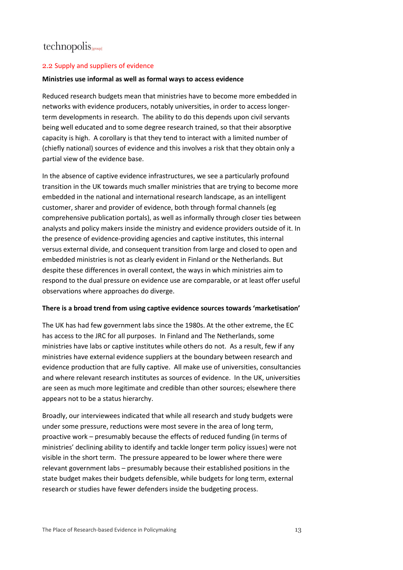#### 2.2 Supply and suppliers of evidence

#### **Ministries use informal as well as formal ways to access evidence**

Reduced research budgets mean that ministries have to become more embedded in networks with evidence producers, notably universities, in order to access longerterm developments in research. The ability to do this depends upon civil servants being well educated and to some degree research trained, so that their absorptive capacity is high. A corollary is that they tend to interact with a limited number of (chiefly national) sources of evidence and this involves a risk that they obtain only a partial view of the evidence base.

In the absence of captive evidence infrastructures, we see a particularly profound transition in the UK towards much smaller ministries that are trying to become more embedded in the national and international research landscape, as an intelligent customer, sharer and provider of evidence, both through formal channels (eg comprehensive publication portals), as well as informally through closer ties between analysts and policy makers inside the ministry and evidence providers outside of it. In the presence of evidence-providing agencies and captive institutes, this internal versus external divide, and consequent transition from large and closed to open and embedded ministries is not as clearly evident in Finland or the Netherlands. But despite these differences in overall context, the ways in which ministries aim to respond to the dual pressure on evidence use are comparable, or at least offer useful observations where approaches do diverge.

#### **There is a broad trend from using captive evidence sources towards 'marketisation'**

The UK has had few government labs since the 1980s. At the other extreme, the EC has access to the JRC for all purposes. In Finland and The Netherlands, some ministries have labs or captive institutes while others do not. As a result, few if any ministries have external evidence suppliers at the boundary between research and evidence production that are fully captive. All make use of universities, consultancies and where relevant research institutes as sources of evidence. In the UK, universities are seen as much more legitimate and credible than other sources; elsewhere there appears not to be a status hierarchy.

Broadly, our interviewees indicated that while all research and study budgets were under some pressure, reductions were most severe in the area of long term, proactive work – presumably because the effects of reduced funding (in terms of ministries' declining ability to identify and tackle longer term policy issues) were not visible in the short term. The pressure appeared to be lower where there were relevant government labs – presumably because their established positions in the state budget makes their budgets defensible, while budgets for long term, external research or studies have fewer defenders inside the budgeting process.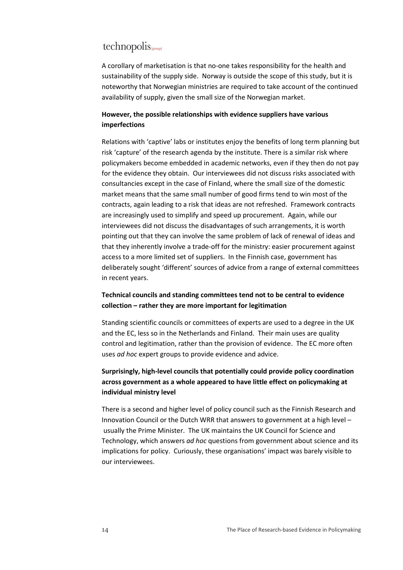A corollary of marketisation is that no-one takes responsibility for the health and sustainability of the supply side. Norway is outside the scope of this study, but it is noteworthy that Norwegian ministries are required to take account of the continued availability of supply, given the small size of the Norwegian market.

#### **However, the possible relationships with evidence suppliers have various imperfections**

Relations with 'captive' labs or institutes enjoy the benefits of long term planning but risk 'capture' of the research agenda by the institute. There is a similar risk where policymakers become embedded in academic networks, even if they then do not pay for the evidence they obtain. Our interviewees did not discuss risks associated with consultancies except in the case of Finland, where the small size of the domestic market means that the same small number of good firms tend to win most of the contracts, again leading to a risk that ideas are not refreshed. Framework contracts are increasingly used to simplify and speed up procurement. Again, while our interviewees did not discuss the disadvantages of such arrangements, it is worth pointing out that they can involve the same problem of lack of renewal of ideas and that they inherently involve a trade-off for the ministry: easier procurement against access to a more limited set of suppliers. In the Finnish case, government has deliberately sought 'different' sources of advice from a range of external committees in recent years.

#### **Technical councils and standing committees tend not to be central to evidence collection – rather they are more important for legitimation**

Standing scientific councils or committees of experts are used to a degree in the UK and the EC, less so in the Netherlands and Finland. Their main uses are quality control and legitimation, rather than the provision of evidence. The EC more often uses *ad hoc* expert groups to provide evidence and advice.

#### **Surprisingly, high-level councils that potentially could provide policy coordination across government as a whole appeared to have little effect on policymaking at individual ministry level**

There is a second and higher level of policy council such as the Finnish Research and Innovation Council or the Dutch WRR that answers to government at a high level – usually the Prime Minister. The UK maintains the UK Council for Science and Technology, which answers *ad hoc* questions from government about science and its implications for policy. Curiously, these organisations' impact was barely visible to our interviewees.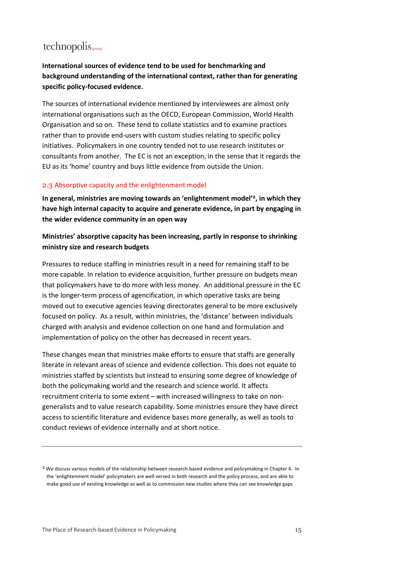#### **International sources of evidence tend to be used for benchmarking and background understanding of the international context, rather than for generating specific policy-focused evidence.**

The sources of international evidence mentioned by interviewees are almost only international organisations such as the OECD, European Commission, World Health Organisation and so on. These tend to collate statistics and to examine practices rather than to provide end-users with custom studies relating to specific policy initiatives. Policymakers in one country tended not to use research institutes or consultants from another. The EC is not an exception, in the sense that it regards the EU as its 'home' country and buys little evidence from outside the Union.

#### 2.3 Absorptive capacity and the enlightenment model

**In general, ministries are moving towards an 'enlightenment model'<sup>2</sup>, in which they have high internal capacity to acquire and generate evidence, in part by engaging in the wider evidence community in an open way** 

#### **Ministries' absorptive capacity has been increasing, partly in response to shrinking ministry size and research budgets**

Pressures to reduce staffing in ministries result in a need for remaining staff to be more capable. In relation to evidence acquisition, further pressure on budgets mean that policymakers have to do more with less money. An additional pressure in the EC is the longer-term process of agencification, in which operative tasks are being moved out to executive agencies leaving directorates general to be more exclusively focused on policy. As a result, within ministries, the 'distance' between individuals charged with analysis and evidence collection on one hand and formulation and implementation of policy on the other has decreased in recent years.

These changes mean that ministries make efforts to ensure that staffs are generally literate in relevant areas of science and evidence collection. This does not equate to ministries staffed by scientists but instead to ensuring some degree of knowledge of both the policymaking world and the research and science world. It affects recruitment criteria to some extent – with increased willingness to take on nongeneralists and to value research capability. Some ministries ensure they have direct access to scientific literature and evidence bases more generally, as well as tools to conduct reviews of evidence internally and at short notice.

 $^2$  We discuss various models of the relationship between research-based evidence and policymaking in Chapter 4. In the 'enlightenment model' policymakers are well versed in both research and the policy process, and are able to make good use of existing knowledge as well as to commission new studies where they can see knowledge gaps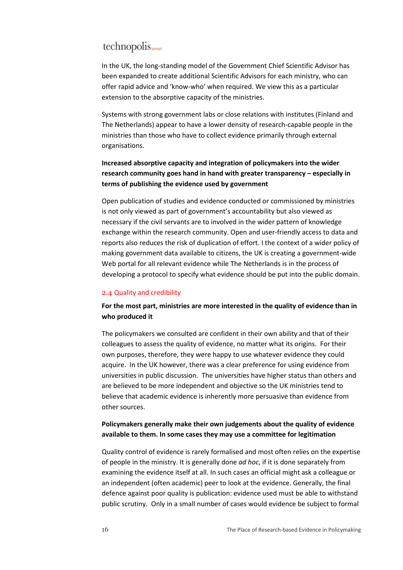In the UK, the long-standing model of the Government Chief Scientific Advisor has been expanded to create additional Scientific Advisors for each ministry, who can offer rapid advice and 'know-who' when required. We view this as a particular extension to the absorptive capacity of the ministries.

Systems with strong government labs or close relations with institutes (Finland and The Netherlands) appear to have a lower density of research-capable people in the ministries than those who have to collect evidence primarily through external organisations.

#### **Increased absorptive capacity and integration of policymakers into the wider research community goes hand in hand with greater transparency – especially in terms of publishing the evidence used by government**

Open publication of studies and evidence conducted or commissioned by ministries is not only viewed as part of government's accountability but also viewed as necessary if the civil servants are to involved in the wider pattern of knowledge exchange within the research community. Open and user-friendly access to data and reports also reduces the risk of duplication of effort. I the context of a wider policy of making government data available to citizens, the UK is creating a government-wide Web portal for all relevant evidence while The Netherlands is in the process of developing a protocol to specify what evidence should be put into the public domain.

#### 2.4 Quality and credibility

#### **For the most part, ministries are more interested in the quality of evidence than in who produced it**

The policymakers we consulted are confident in their own ability and that of their colleagues to assess the quality of evidence, no matter what its origins. For their own purposes, therefore, they were happy to use whatever evidence they could acquire. In the UK however, there was a clear preference for using evidence from universities in public discussion. The universities have higher status than others and are believed to be more independent and objective so the UK ministries tend to believe that academic evidence is inherently more persuasive than evidence from other sources.

#### **Policymakers generally make their own judgements about the quality of evidence available to them. In some cases they may use a committee for legitimation**

Quality control of evidence is rarely formalised and most often relies on the expertise of people in the ministry. It is generally done *ad hoc*, if it is done separately from examining the evidence itself at all. In such cases an official might ask a colleague or an independent (often academic) peer to look at the evidence. Generally, the final defence against poor quality is publication: evidence used must be able to withstand public scrutiny. Only in a small number of cases would evidence be subject to formal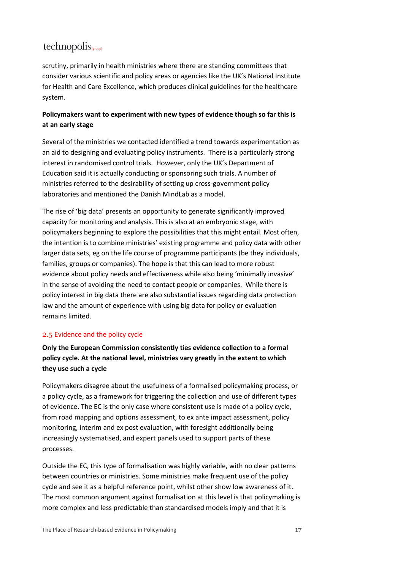scrutiny, primarily in health ministries where there are standing committees that consider various scientific and policy areas or agencies like the UK's National Institute for Health and Care Excellence, which produces clinical guidelines for the healthcare system.

#### **Policymakers want to experiment with new types of evidence though so far this is at an early stage**

Several of the ministries we contacted identified a trend towards experimentation as an aid to designing and evaluating policy instruments. There is a particularly strong interest in randomised control trials. However, only the UK's Department of Education said it is actually conducting or sponsoring such trials. A number of ministries referred to the desirability of setting up cross-government policy laboratories and mentioned the Danish MindLab as a model.

The rise of 'big data' presents an opportunity to generate significantly improved capacity for monitoring and analysis. This is also at an embryonic stage, with policymakers beginning to explore the possibilities that this might entail. Most often, the intention is to combine ministries' existing programme and policy data with other larger data sets, eg on the life course of programme participants (be they individuals, families, groups or companies). The hope is that this can lead to more robust evidence about policy needs and effectiveness while also being 'minimally invasive' in the sense of avoiding the need to contact people or companies. While there is policy interest in big data there are also substantial issues regarding data protection law and the amount of experience with using big data for policy or evaluation remains limited.

#### 2.5 Evidence and the policy cycle

**Only the European Commission consistently ties evidence collection to a formal policy cycle. At the national level, ministries vary greatly in the extent to which they use such a cycle** 

Policymakers disagree about the usefulness of a formalised policymaking process, or a policy cycle, as a framework for triggering the collection and use of different types of evidence. The EC is the only case where consistent use is made of a policy cycle, from road mapping and options assessment, to ex ante impact assessment, policy monitoring, interim and ex post evaluation, with foresight additionally being increasingly systematised, and expert panels used to support parts of these processes.

Outside the EC, this type of formalisation was highly variable, with no clear patterns between countries or ministries. Some ministries make frequent use of the policy cycle and see it as a helpful reference point, whilst other show low awareness of it. The most common argument against formalisation at this level is that policymaking is more complex and less predictable than standardised models imply and that it is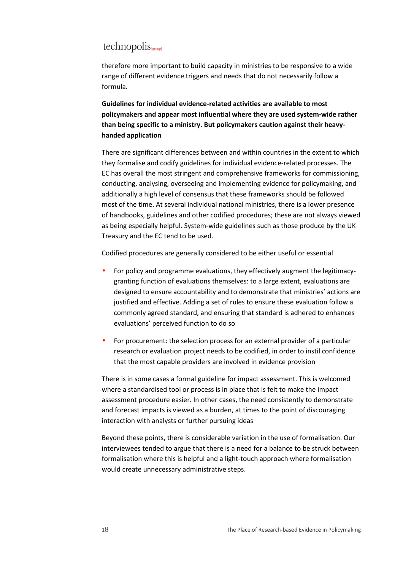therefore more important to build capacity in ministries to be responsive to a wide range of different evidence triggers and needs that do not necessarily follow a formula.

**Guidelines for individual evidence-related activities are available to most policymakers and appear most influential where they are used system-wide rather than being specific to a ministry. But policymakers caution against their heavyhanded application** 

There are significant differences between and within countries in the extent to which they formalise and codify guidelines for individual evidence-related processes. The EC has overall the most stringent and comprehensive frameworks for commissioning, conducting, analysing, overseeing and implementing evidence for policymaking, and additionally a high level of consensus that these frameworks should be followed most of the time. At several individual national ministries, there is a lower presence of handbooks, guidelines and other codified procedures; these are not always viewed as being especially helpful. System-wide guidelines such as those produce by the UK Treasury and the EC tend to be used.

Codified procedures are generally considered to be either useful or essential

- For policy and programme evaluations, they effectively augment the legitimacygranting function of evaluations themselves: to a large extent, evaluations are designed to ensure accountability and to demonstrate that ministries' actions are justified and effective. Adding a set of rules to ensure these evaluation follow a commonly agreed standard, and ensuring that standard is adhered to enhances evaluations' perceived function to do so
- For procurement: the selection process for an external provider of a particular research or evaluation project needs to be codified, in order to instil confidence that the most capable providers are involved in evidence provision

There is in some cases a formal guideline for impact assessment. This is welcomed where a standardised tool or process is in place that is felt to make the impact assessment procedure easier. In other cases, the need consistently to demonstrate and forecast impacts is viewed as a burden, at times to the point of discouraging interaction with analysts or further pursuing ideas

Beyond these points, there is considerable variation in the use of formalisation. Our interviewees tended to argue that there is a need for a balance to be struck between formalisation where this is helpful and a light-touch approach where formalisation would create unnecessary administrative steps.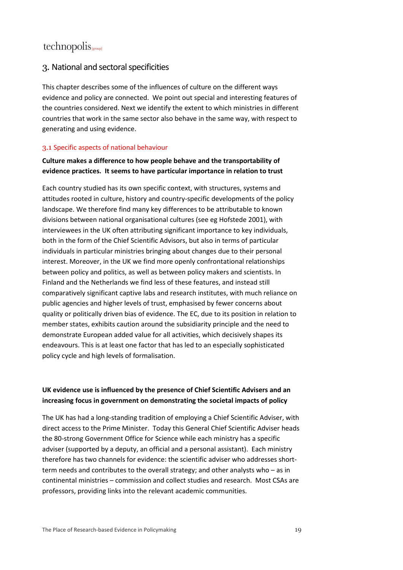#### 3. National and sectoral specificities

This chapter describes some of the influences of culture on the different ways evidence and policy are connected. We point out special and interesting features of the countries considered. Next we identify the extent to which ministries in different countries that work in the same sector also behave in the same way, with respect to generating and using evidence.

#### 3.1 Specific aspects of national behaviour

#### **Culture makes a difference to how people behave and the transportability of evidence practices. It seems to have particular importance in relation to trust**

Each country studied has its own specific context, with structures, systems and attitudes rooted in culture, history and country-specific developments of the policy landscape. We therefore find many key differences to be attributable to known divisions between national organisational cultures (see eg Hofstede 2001), with interviewees in the UK often attributing significant importance to key individuals, both in the form of the Chief Scientific Advisors, but also in terms of particular individuals in particular ministries bringing about changes due to their personal interest. Moreover, in the UK we find more openly confrontational relationships between policy and politics, as well as between policy makers and scientists. In Finland and the Netherlands we find less of these features, and instead still comparatively significant captive labs and research institutes, with much reliance on public agencies and higher levels of trust, emphasised by fewer concerns about quality or politically driven bias of evidence. The EC, due to its position in relation to member states, exhibits caution around the subsidiarity principle and the need to demonstrate European added value for all activities, which decisively shapes its endeavours. This is at least one factor that has led to an especially sophisticated policy cycle and high levels of formalisation.

#### **UK evidence use is influenced by the presence of Chief Scientific Advisers and an increasing focus in government on demonstrating the societal impacts of policy**

The UK has had a long-standing tradition of employing a Chief Scientific Adviser, with direct access to the Prime Minister. Today this General Chief Scientific Adviser heads the 80-strong Government Office for Science while each ministry has a specific adviser (supported by a deputy, an official and a personal assistant). Each ministry therefore has two channels for evidence: the scientific adviser who addresses shortterm needs and contributes to the overall strategy; and other analysts who – as in continental ministries – commission and collect studies and research. Most CSAs are professors, providing links into the relevant academic communities.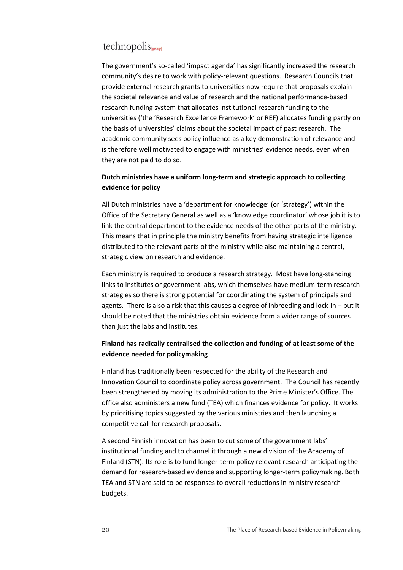The government's so-called 'impact agenda' has significantly increased the research community's desire to work with policy-relevant questions. Research Councils that provide external research grants to universities now require that proposals explain the societal relevance and value of research and the national performance-based research funding system that allocates institutional research funding to the universities ('the 'Research Excellence Framework' or REF) allocates funding partly on the basis of universities' claims about the societal impact of past research. The academic community sees policy influence as a key demonstration of relevance and is therefore well motivated to engage with ministries' evidence needs, even when they are not paid to do so.

#### **Dutch ministries have a uniform long-term and strategic approach to collecting evidence for policy**

All Dutch ministries have a 'department for knowledge' (or 'strategy') within the Office of the Secretary General as well as a 'knowledge coordinator' whose job it is to link the central department to the evidence needs of the other parts of the ministry. This means that in principle the ministry benefits from having strategic intelligence distributed to the relevant parts of the ministry while also maintaining a central, strategic view on research and evidence.

Each ministry is required to produce a research strategy. Most have long-standing links to institutes or government labs, which themselves have medium-term research strategies so there is strong potential for coordinating the system of principals and agents. There is also a risk that this causes a degree of inbreeding and lock-in – but it should be noted that the ministries obtain evidence from a wider range of sources than just the labs and institutes.

#### **Finland has radically centralised the collection and funding of at least some of the evidence needed for policymaking**

Finland has traditionally been respected for the ability of the Research and Innovation Council to coordinate policy across government. The Council has recently been strengthened by moving its administration to the Prime Minister's Office. The office also administers a new fund (TEA) which finances evidence for policy. It works by prioritising topics suggested by the various ministries and then launching a competitive call for research proposals.

A second Finnish innovation has been to cut some of the government labs' institutional funding and to channel it through a new division of the Academy of Finland (STN). Its role is to fund longer-term policy relevant research anticipating the demand for research-based evidence and supporting longer-term policymaking. Both TEA and STN are said to be responses to overall reductions in ministry research budgets.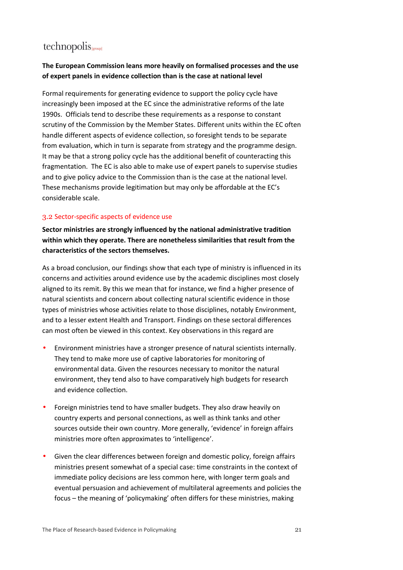#### **The European Commission leans more heavily on formalised processes and the use of expert panels in evidence collection than is the case at national level**

Formal requirements for generating evidence to support the policy cycle have increasingly been imposed at the EC since the administrative reforms of the late 1990s. Officials tend to describe these requirements as a response to constant scrutiny of the Commission by the Member States. Different units within the EC often handle different aspects of evidence collection, so foresight tends to be separate from evaluation, which in turn is separate from strategy and the programme design. It may be that a strong policy cycle has the additional benefit of counteracting this fragmentation. The EC is also able to make use of expert panels to supervise studies and to give policy advice to the Commission than is the case at the national level. These mechanisms provide legitimation but may only be affordable at the EC's considerable scale.

#### 3.2 Sector-specific aspects of evidence use

**Sector ministries are strongly influenced by the national administrative tradition within which they operate. There are nonetheless similarities that result from the characteristics of the sectors themselves.** 

As a broad conclusion, our findings show that each type of ministry is influenced in its concerns and activities around evidence use by the academic disciplines most closely aligned to its remit. By this we mean that for instance, we find a higher presence of natural scientists and concern about collecting natural scientific evidence in those types of ministries whose activities relate to those disciplines, notably Environment, and to a lesser extent Health and Transport. Findings on these sectoral differences can most often be viewed in this context. Key observations in this regard are

- Environment ministries have a stronger presence of natural scientists internally. They tend to make more use of captive laboratories for monitoring of environmental data. Given the resources necessary to monitor the natural environment, they tend also to have comparatively high budgets for research and evidence collection.
- Foreign ministries tend to have smaller budgets. They also draw heavily on country experts and personal connections, as well as think tanks and other sources outside their own country. More generally, 'evidence' in foreign affairs ministries more often approximates to 'intelligence'.
- Given the clear differences between foreign and domestic policy, foreign affairs ministries present somewhat of a special case: time constraints in the context of immediate policy decisions are less common here, with longer term goals and eventual persuasion and achievement of multilateral agreements and policies the focus – the meaning of 'policymaking' often differs for these ministries, making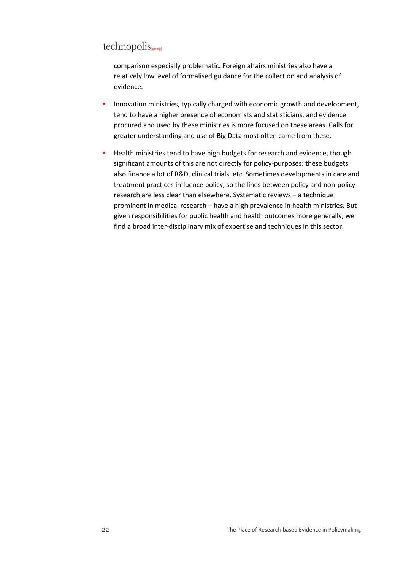# technopolis sproupl

comparison especially problematic. Foreign affairs ministries also have a relatively low level of formalised guidance for the collection and analysis of evidence.

- Innovation ministries, typically charged with economic growth and development, tend to have a higher presence of economists and statisticians, and evidence procured and used by these ministries is more focused on these areas. Calls for greater understanding and use of Big Data most often came from these.
- Health ministries tend to have high budgets for research and evidence, though significant amounts of this are not directly for policy-purposes: these budgets also finance a lot of R&D, clinical trials, etc. Sometimes developments in care and treatment practices influence policy, so the lines between policy and non-policy research are less clear than elsewhere. Systematic reviews – a technique prominent in medical research – have a high prevalence in health ministries. But given responsibilities for public health and health outcomes more generally, we find a broad inter-disciplinary mix of expertise and techniques in this sector.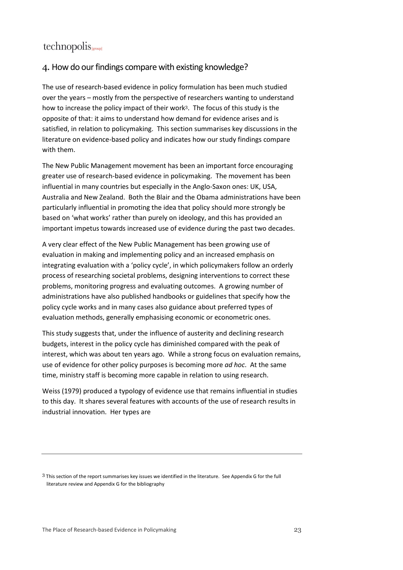#### 4. How do our findings compare with existing knowledge?

The use of research-based evidence in policy formulation has been much studied over the years – mostly from the perspective of researchers wanting to understand how to increase the policy impact of their work<sup>3</sup> . The focus of this study is the opposite of that: it aims to understand how demand for evidence arises and is satisfied, in relation to policymaking. This section summarises key discussions in the literature on evidence-based policy and indicates how our study findings compare with them.

The New Public Management movement has been an important force encouraging greater use of research-based evidence in policymaking. The movement has been influential in many countries but especially in the Anglo-Saxon ones: UK, USA, Australia and New Zealand. Both the Blair and the Obama administrations have been particularly influential in promoting the idea that policy should more strongly be based on 'what works' rather than purely on ideology, and this has provided an important impetus towards increased use of evidence during the past two decades.

A very clear effect of the New Public Management has been growing use of evaluation in making and implementing policy and an increased emphasis on integrating evaluation with a 'policy cycle', in which policymakers follow an orderly process of researching societal problems, designing interventions to correct these problems, monitoring progress and evaluating outcomes. A growing number of administrations have also published handbooks or guidelines that specify how the policy cycle works and in many cases also guidance about preferred types of evaluation methods, generally emphasising economic or econometric ones.

This study suggests that, under the influence of austerity and declining research budgets, interest in the policy cycle has diminished compared with the peak of interest, which was about ten years ago. While a strong focus on evaluation remains, use of evidence for other policy purposes is becoming more *ad hoc*. At the same time, ministry staff is becoming more capable in relation to using research.

Weiss (1979) produced a typology of evidence use that remains influential in studies to this day. It shares several features with accounts of the use of research results in industrial innovation. Her types are

 $3$  This section of the report summarises key issues we identified in the literature. See Appendix G for the full literature review and Appendix G for the bibliography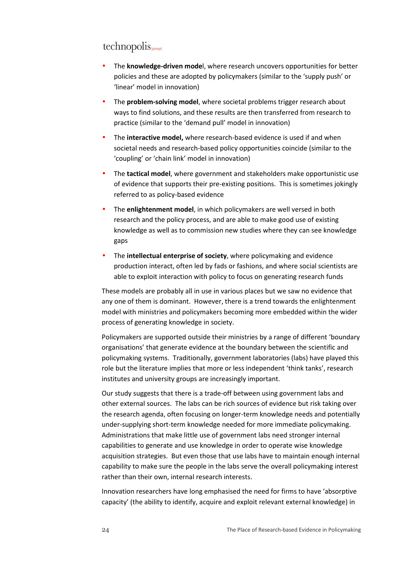- The **knowledge-driven mode**l, where research uncovers opportunities for better policies and these are adopted by policymakers (similar to the 'supply push' or 'linear' model in innovation)
- The **problem-solving model**, where societal problems trigger research about ways to find solutions, and these results are then transferred from research to practice (similar to the 'demand pull' model in innovation)
- The **interactive model,** where research-based evidence is used if and when societal needs and research-based policy opportunities coincide (similar to the 'coupling' or 'chain link' model in innovation)
- The **tactical model**, where government and stakeholders make opportunistic use of evidence that supports their pre-existing positions. This is sometimes jokingly referred to as policy-based evidence
- The **enlightenment model**, in which policymakers are well versed in both research and the policy process, and are able to make good use of existing knowledge as well as to commission new studies where they can see knowledge gaps
- The **intellectual enterprise of society**, where policymaking and evidence production interact, often led by fads or fashions, and where social scientists are able to exploit interaction with policy to focus on generating research funds

These models are probably all in use in various places but we saw no evidence that any one of them is dominant. However, there is a trend towards the enlightenment model with ministries and policymakers becoming more embedded within the wider process of generating knowledge in society.

Policymakers are supported outside their ministries by a range of different 'boundary organisations' that generate evidence at the boundary between the scientific and policymaking systems. Traditionally, government laboratories (labs) have played this role but the literature implies that more or less independent 'think tanks', research institutes and university groups are increasingly important.

Our study suggests that there is a trade-off between using government labs and other external sources. The labs can be rich sources of evidence but risk taking over the research agenda, often focusing on longer-term knowledge needs and potentially under-supplying short-term knowledge needed for more immediate policymaking. Administrations that make little use of government labs need stronger internal capabilities to generate and use knowledge in order to operate wise knowledge acquisition strategies. But even those that use labs have to maintain enough internal capability to make sure the people in the labs serve the overall policymaking interest rather than their own, internal research interests.

Innovation researchers have long emphasised the need for firms to have 'absorptive capacity' (the ability to identify, acquire and exploit relevant external knowledge) in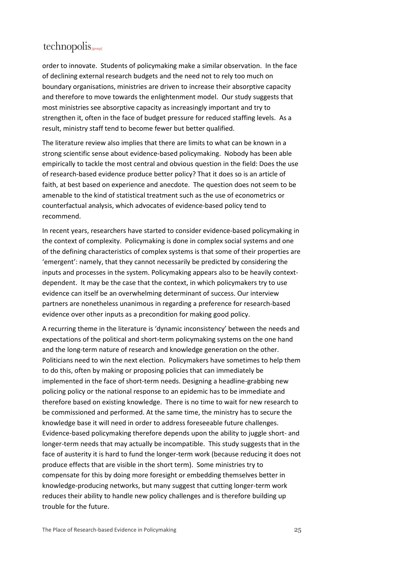order to innovate. Students of policymaking make a similar observation. In the face of declining external research budgets and the need not to rely too much on boundary organisations, ministries are driven to increase their absorptive capacity and therefore to move towards the enlightenment model. Our study suggests that most ministries see absorptive capacity as increasingly important and try to strengthen it, often in the face of budget pressure for reduced staffing levels. As a result, ministry staff tend to become fewer but better qualified.

The literature review also implies that there are limits to what can be known in a strong scientific sense about evidence-based policymaking. Nobody has been able empirically to tackle the most central and obvious question in the field: Does the use of research-based evidence produce better policy? That it does so is an article of faith, at best based on experience and anecdote. The question does not seem to be amenable to the kind of statistical treatment such as the use of econometrics or counterfactual analysis, which advocates of evidence-based policy tend to recommend.

In recent years, researchers have started to consider evidence-based policymaking in the context of complexity. Policymaking is done in complex social systems and one of the defining characteristics of complex systems is that some of their properties are 'emergent': namely, that they cannot necessarily be predicted by considering the inputs and processes in the system. Policymaking appears also to be heavily contextdependent. It may be the case that the context, in which policymakers try to use evidence can itself be an overwhelming determinant of success. Our interview partners are nonetheless unanimous in regarding a preference for research-based evidence over other inputs as a precondition for making good policy.

A recurring theme in the literature is 'dynamic inconsistency' between the needs and expectations of the political and short-term policymaking systems on the one hand and the long-term nature of research and knowledge generation on the other. Politicians need to win the next election. Policymakers have sometimes to help them to do this, often by making or proposing policies that can immediately be implemented in the face of short-term needs. Designing a headline-grabbing new policing policy or the national response to an epidemic has to be immediate and therefore based on existing knowledge. There is no time to wait for new research to be commissioned and performed. At the same time, the ministry has to secure the knowledge base it will need in order to address foreseeable future challenges. Evidence-based policymaking therefore depends upon the ability to juggle short- and longer-term needs that may actually be incompatible. This study suggests that in the face of austerity it is hard to fund the longer-term work (because reducing it does not produce effects that are visible in the short term). Some ministries try to compensate for this by doing more foresight or embedding themselves better in knowledge-producing networks, but many suggest that cutting longer-term work reduces their ability to handle new policy challenges and is therefore building up trouble for the future.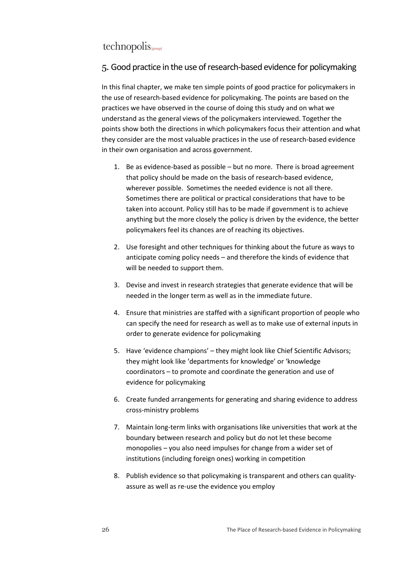#### 5. Good practice in the use of research-based evidence for policymaking

In this final chapter, we make ten simple points of good practice for policymakers in the use of research-based evidence for policymaking. The points are based on the practices we have observed in the course of doing this study and on what we understand as the general views of the policymakers interviewed. Together the points show both the directions in which policymakers focus their attention and what they consider are the most valuable practices in the use of research-based evidence in their own organisation and across government.

- 1. Be as evidence-based as possible but no more. There is broad agreement that policy should be made on the basis of research-based evidence, wherever possible. Sometimes the needed evidence is not all there. Sometimes there are political or practical considerations that have to be taken into account. Policy still has to be made if government is to achieve anything but the more closely the policy is driven by the evidence, the better policymakers feel its chances are of reaching its objectives.
- 2. Use foresight and other techniques for thinking about the future as ways to anticipate coming policy needs – and therefore the kinds of evidence that will be needed to support them.
- 3. Devise and invest in research strategies that generate evidence that will be needed in the longer term as well as in the immediate future.
- 4. Ensure that ministries are staffed with a significant proportion of people who can specify the need for research as well as to make use of external inputs in order to generate evidence for policymaking
- 5. Have 'evidence champions' they might look like Chief Scientific Advisors; they might look like 'departments for knowledge' or 'knowledge coordinators – to promote and coordinate the generation and use of evidence for policymaking
- 6. Create funded arrangements for generating and sharing evidence to address cross-ministry problems
- 7. Maintain long-term links with organisations like universities that work at the boundary between research and policy but do not let these become monopolies – you also need impulses for change from a wider set of institutions (including foreign ones) working in competition
- 8. Publish evidence so that policymaking is transparent and others can qualityassure as well as re-use the evidence you employ